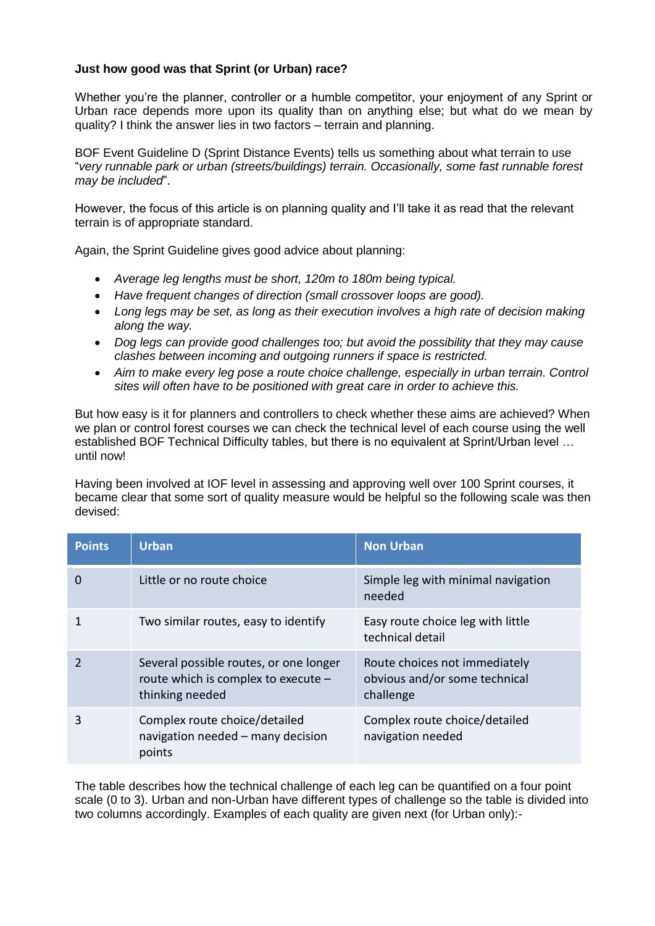## **Just how good was that Sprint (or Urban) race?**

Whether you're the planner, controller or a humble competitor, your enjoyment of any Sprint or Urban race depends more upon its quality than on anything else; but what do we mean by quality? I think the answer lies in two factors – terrain and planning.

BOF Event Guideline D (Sprint Distance Events) tells us something about what terrain to use "*very runnable park or urban (streets/buildings) terrain. Occasionally, some fast runnable forest may be included*".

However, the focus of this article is on planning quality and I'll take it as read that the relevant terrain is of appropriate standard.

Again, the Sprint Guideline gives good advice about planning:

- *Average leg lengths must be short, 120m to 180m being typical.*
- *Have frequent changes of direction (small crossover loops are good).*
- *Long legs may be set, as long as their execution involves a high rate of decision making along the way.*
- *Dog legs can provide good challenges too; but avoid the possibility that they may cause clashes between incoming and outgoing runners if space is restricted.*
- *Aim to make every leg pose a route choice challenge, especially in urban terrain. Control sites will often have to be positioned with great care in order to achieve this.*

But how easy is it for planners and controllers to check whether these aims are achieved? When we plan or control forest courses we can check the technical level of each course using the well established BOF Technical Difficulty tables, but there is no equivalent at Sprint/Urban level … until now!

Having been involved at IOF level in assessing and approving well over 100 Sprint courses, it became clear that some sort of quality measure would be helpful so the following scale was then devised:

| <b>Points</b> | <b>Urban</b>                                                                                     | <b>Non Urban</b>                                                            |
|---------------|--------------------------------------------------------------------------------------------------|-----------------------------------------------------------------------------|
| 0             | Little or no route choice                                                                        | Simple leg with minimal navigation<br>needed                                |
|               | Two similar routes, easy to identify                                                             | Easy route choice leg with little<br>technical detail                       |
|               | Several possible routes, or one longer<br>route which is complex to execute -<br>thinking needed | Route choices not immediately<br>obvious and/or some technical<br>challenge |
|               | Complex route choice/detailed<br>navigation needed - many decision<br>points                     | Complex route choice/detailed<br>navigation needed                          |

The table describes how the technical challenge of each leg can be quantified on a four point scale (0 to 3). Urban and non-Urban have different types of challenge so the table is divided into two columns accordingly. Examples of each quality are given next (for Urban only):-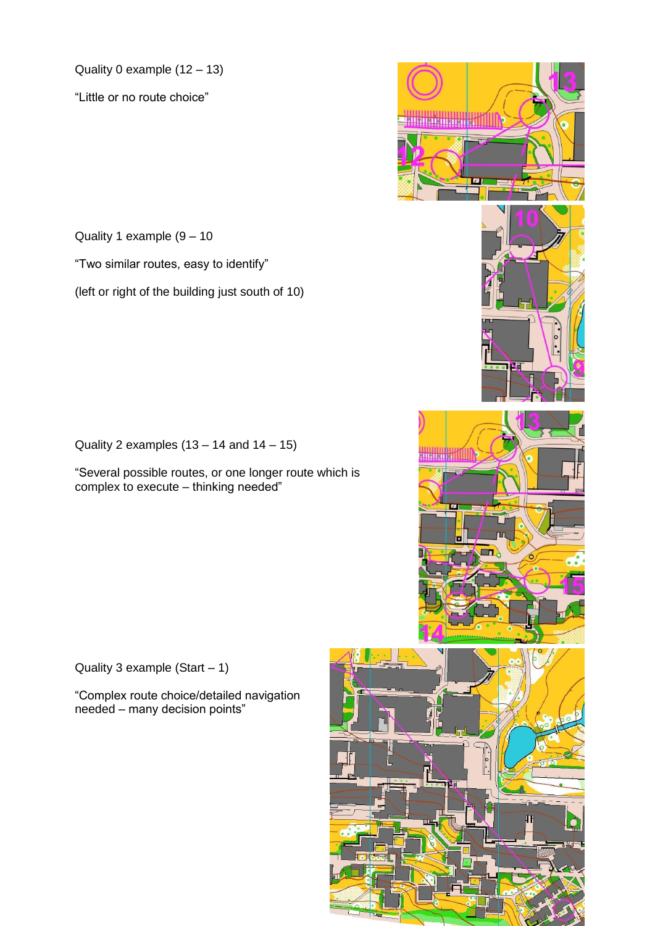Quality 0 example (12 – 13)

"Little or no route choice"

Quality 1 example (9 – 10

"Two similar routes, easy to identify"

(left or right of the building just south of 10)

Quality 2 examples  $(13 - 14$  and  $14 - 15)$ 

"Several possible routes, or one longer route which is complex to execute – thinking needed"

Quality 3 example (Start  $-1$ )

"Complex route choice/detailed navigation needed – many decision points"